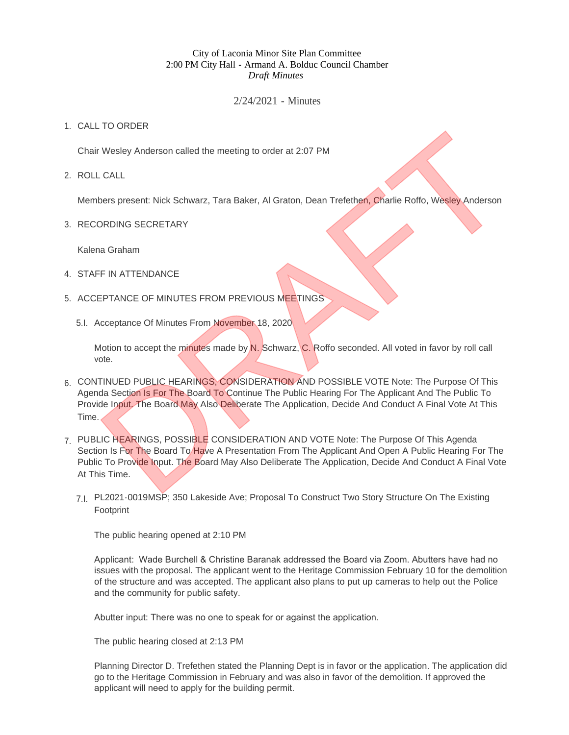## City of Laconia Minor Site Plan Committee 2:00 PM City Hall - Armand A. Bolduc Council Chamber *Draft Minutes*

## 2/24/2021 - Minutes

## 1. CALL TO ORDER

Chair Wesley Anderson called the meeting to order at 2:07 PM

ROLL CALL 2.

Members present: Nick Schwarz, Tara Baker, Al Graton, Dean Trefethen, Charlie Roffo, Wesley Anderson

3. RECORDING SECRETARY

Kalena Graham

- 4. STAFF IN ATTENDANCE
- 5. ACCEPTANCE OF MINUTES FROM PREVIOUS MEETINGS
	- 5.I. Acceptance Of Minutes From November 18, 2020

Motion to accept the minutes made by N. Schwarz, C. Roffo seconded. All voted in favor by roll call vote.

- 6. CONTINUED PUBLIC HEARINGS, CONSIDERATION AND POSSIBLE VOTE Note: The Purpose Of This Agenda Section Is For The Board To Continue The Public Hearing For The Applicant And The Public To Provide Input. The Board May Also Deliberate The Application, Decide And Conduct A Final Vote At This Time.
- 7. PUBLIC HEARINGS, POSSIBLE CONSIDERATION AND VOTE Note: The Purpose Of This Agenda Section Is For The Board To Have A Presentation From The Applicant And Open A Public Hearing For The Public To Provide Input. The Board May Also Deliberate The Application, Decide And Conduct A Final Vote At This Time. The Context Wesley Anderson called the meeting to order at 2:07 PM<br>
Desis present: Nick Schwarz, Tara Baker, Al Graton, Dean Trefethen, Charlie Roffo, Wesley Anderson<br>
DRDING SECRETARY<br>
IRENAICE OF MINUTES FROM PREVIOUS ME
	- PL2021-0019MSP; 350 Lakeside Ave; Proposal To Construct Two Story Structure On The Existing 7.I. Footprint

The public hearing opened at 2:10 PM

Applicant: Wade Burchell & Christine Baranak addressed the Board via Zoom. Abutters have had no issues with the proposal. The applicant went to the Heritage Commission February 10 for the demolition of the structure and was accepted. The applicant also plans to put up cameras to help out the Police and the community for public safety.

Abutter input: There was no one to speak for or against the application.

The public hearing closed at 2:13 PM

Planning Director D. Trefethen stated the Planning Dept is in favor or the application. The application did go to the Heritage Commission in February and was also in favor of the demolition. If approved the applicant will need to apply for the building permit.